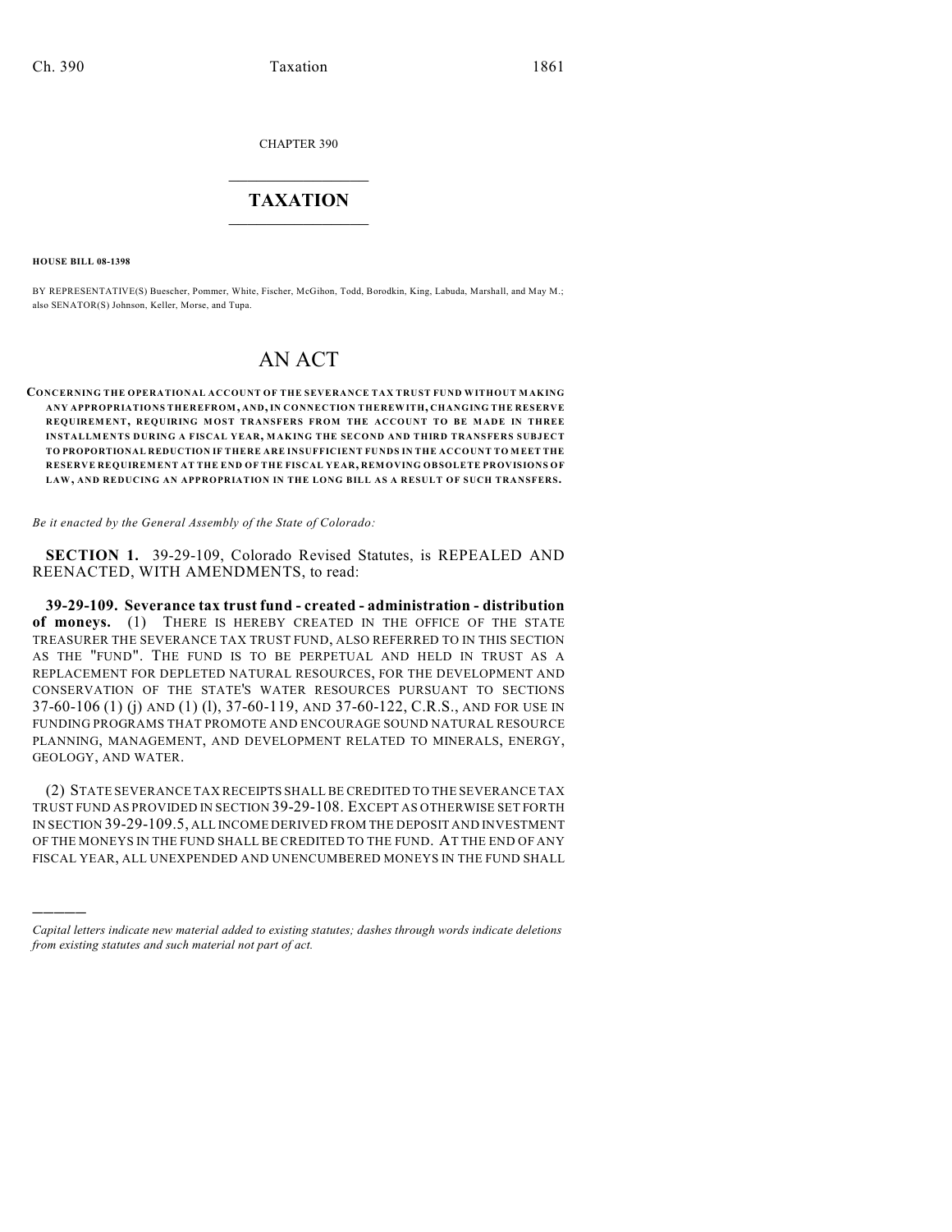CHAPTER 390

# $\overline{\phantom{a}}$  . The set of the set of the set of the set of the set of the set of the set of the set of the set of the set of the set of the set of the set of the set of the set of the set of the set of the set of the set o **TAXATION**  $\_$

**HOUSE BILL 08-1398**

)))))

BY REPRESENTATIVE(S) Buescher, Pommer, White, Fischer, McGihon, Todd, Borodkin, King, Labuda, Marshall, and May M.; also SENATOR(S) Johnson, Keller, Morse, and Tupa.

# AN ACT

**CONCERNING THE OPERATIONAL ACCOUNT OF THE SEVERANCE TAX TRUST FUND WITHOUT MAKING ANY APPROPRIATIONS THEREFROM, AND, IN CONNECTION THEREWITH, CHANGING THE RESERVE REQUIREMENT, REQUIRING MOST TRANSFERS FROM THE ACCOUNT TO BE MADE IN THREE INSTALLMENTS DURING A FISCAL YEAR, MAKING THE SECOND AND THIRD TRANSFERS SUBJECT TO PROPORTIONAL REDUCTION IF THERE ARE INSUFFICIENT FUNDS IN THE ACCOUNT TO MEET THE RESERVE REQUIREMENT AT THE END OF THE FISCAL YEAR, REMOVING OBSOLETE PROVISIONS OF LAW, AND REDUCING AN APPROPRIATION IN THE LONG BILL AS A RESULT OF SUCH TRANSFERS.**

*Be it enacted by the General Assembly of the State of Colorado:*

**SECTION 1.** 39-29-109, Colorado Revised Statutes, is REPEALED AND REENACTED, WITH AMENDMENTS, to read:

**39-29-109. Severance tax trust fund - created - administration - distribution of moneys.** (1) THERE IS HEREBY CREATED IN THE OFFICE OF THE STATE TREASURER THE SEVERANCE TAX TRUST FUND, ALSO REFERRED TO IN THIS SECTION AS THE "FUND". THE FUND IS TO BE PERPETUAL AND HELD IN TRUST AS A REPLACEMENT FOR DEPLETED NATURAL RESOURCES, FOR THE DEVELOPMENT AND CONSERVATION OF THE STATE'S WATER RESOURCES PURSUANT TO SECTIONS 37-60-106 (1) (j) AND (1) (l), 37-60-119, AND 37-60-122, C.R.S., AND FOR USE IN FUNDING PROGRAMS THAT PROMOTE AND ENCOURAGE SOUND NATURAL RESOURCE PLANNING, MANAGEMENT, AND DEVELOPMENT RELATED TO MINERALS, ENERGY, GEOLOGY, AND WATER.

(2) STATE SEVERANCE TAX RECEIPTS SHALL BE CREDITED TO THE SEVERANCE TAX TRUST FUND AS PROVIDED IN SECTION 39-29-108. EXCEPT AS OTHERWISE SET FORTH IN SECTION 39-29-109.5, ALL INCOME DERIVED FROM THE DEPOSIT AND INVESTMENT OF THE MONEYS IN THE FUND SHALL BE CREDITED TO THE FUND. AT THE END OF ANY FISCAL YEAR, ALL UNEXPENDED AND UNENCUMBERED MONEYS IN THE FUND SHALL

*Capital letters indicate new material added to existing statutes; dashes through words indicate deletions from existing statutes and such material not part of act.*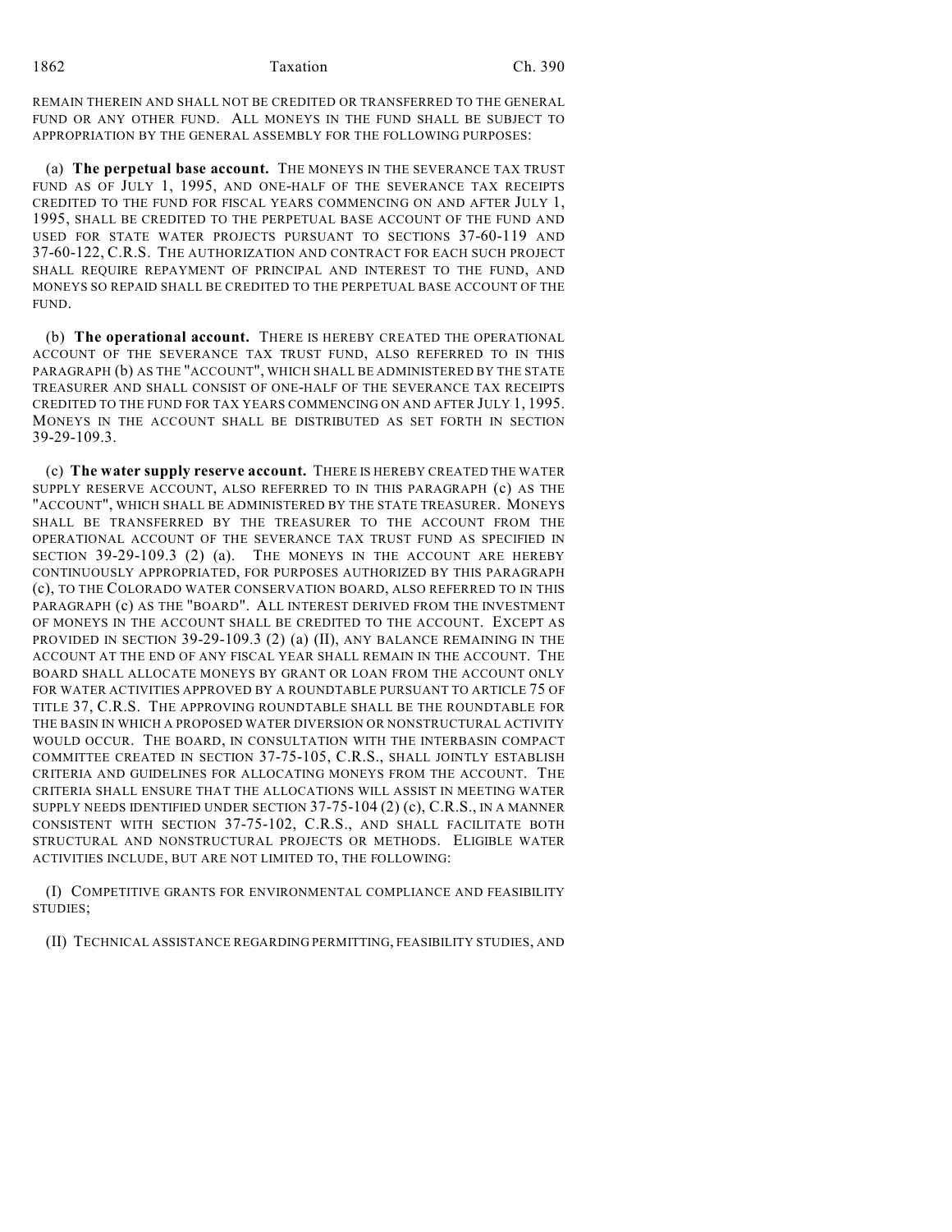REMAIN THEREIN AND SHALL NOT BE CREDITED OR TRANSFERRED TO THE GENERAL FUND OR ANY OTHER FUND. ALL MONEYS IN THE FUND SHALL BE SUBJECT TO APPROPRIATION BY THE GENERAL ASSEMBLY FOR THE FOLLOWING PURPOSES:

(a) **The perpetual base account.** THE MONEYS IN THE SEVERANCE TAX TRUST FUND AS OF JULY 1, 1995, AND ONE-HALF OF THE SEVERANCE TAX RECEIPTS CREDITED TO THE FUND FOR FISCAL YEARS COMMENCING ON AND AFTER JULY 1, 1995, SHALL BE CREDITED TO THE PERPETUAL BASE ACCOUNT OF THE FUND AND USED FOR STATE WATER PROJECTS PURSUANT TO SECTIONS 37-60-119 AND 37-60-122, C.R.S. THE AUTHORIZATION AND CONTRACT FOR EACH SUCH PROJECT SHALL REQUIRE REPAYMENT OF PRINCIPAL AND INTEREST TO THE FUND, AND MONEYS SO REPAID SHALL BE CREDITED TO THE PERPETUAL BASE ACCOUNT OF THE FUND.

(b) **The operational account.** THERE IS HEREBY CREATED THE OPERATIONAL ACCOUNT OF THE SEVERANCE TAX TRUST FUND, ALSO REFERRED TO IN THIS PARAGRAPH (b) AS THE "ACCOUNT", WHICH SHALL BE ADMINISTERED BY THE STATE TREASURER AND SHALL CONSIST OF ONE-HALF OF THE SEVERANCE TAX RECEIPTS CREDITED TO THE FUND FOR TAX YEARS COMMENCING ON AND AFTER JULY 1, 1995. MONEYS IN THE ACCOUNT SHALL BE DISTRIBUTED AS SET FORTH IN SECTION 39-29-109.3.

(c) **The water supply reserve account.** THERE IS HEREBY CREATED THE WATER SUPPLY RESERVE ACCOUNT, ALSO REFERRED TO IN THIS PARAGRAPH (c) AS THE "ACCOUNT", WHICH SHALL BE ADMINISTERED BY THE STATE TREASURER. MONEYS SHALL BE TRANSFERRED BY THE TREASURER TO THE ACCOUNT FROM THE OPERATIONAL ACCOUNT OF THE SEVERANCE TAX TRUST FUND AS SPECIFIED IN SECTION 39-29-109.3 (2) (a). THE MONEYS IN THE ACCOUNT ARE HEREBY CONTINUOUSLY APPROPRIATED, FOR PURPOSES AUTHORIZED BY THIS PARAGRAPH (c), TO THE COLORADO WATER CONSERVATION BOARD, ALSO REFERRED TO IN THIS PARAGRAPH (c) AS THE "BOARD". ALL INTEREST DERIVED FROM THE INVESTMENT OF MONEYS IN THE ACCOUNT SHALL BE CREDITED TO THE ACCOUNT. EXCEPT AS PROVIDED IN SECTION 39-29-109.3 (2) (a) (II), ANY BALANCE REMAINING IN THE ACCOUNT AT THE END OF ANY FISCAL YEAR SHALL REMAIN IN THE ACCOUNT. THE BOARD SHALL ALLOCATE MONEYS BY GRANT OR LOAN FROM THE ACCOUNT ONLY FOR WATER ACTIVITIES APPROVED BY A ROUNDTABLE PURSUANT TO ARTICLE 75 OF TITLE 37, C.R.S. THE APPROVING ROUNDTABLE SHALL BE THE ROUNDTABLE FOR THE BASIN IN WHICH A PROPOSED WATER DIVERSION OR NONSTRUCTURAL ACTIVITY WOULD OCCUR. THE BOARD, IN CONSULTATION WITH THE INTERBASIN COMPACT COMMITTEE CREATED IN SECTION 37-75-105, C.R.S., SHALL JOINTLY ESTABLISH CRITERIA AND GUIDELINES FOR ALLOCATING MONEYS FROM THE ACCOUNT. THE CRITERIA SHALL ENSURE THAT THE ALLOCATIONS WILL ASSIST IN MEETING WATER SUPPLY NEEDS IDENTIFIED UNDER SECTION 37-75-104 (2) (c), C.R.S., IN A MANNER CONSISTENT WITH SECTION 37-75-102, C.R.S., AND SHALL FACILITATE BOTH STRUCTURAL AND NONSTRUCTURAL PROJECTS OR METHODS. ELIGIBLE WATER ACTIVITIES INCLUDE, BUT ARE NOT LIMITED TO, THE FOLLOWING:

(I) COMPETITIVE GRANTS FOR ENVIRONMENTAL COMPLIANCE AND FEASIBILITY STUDIES;

(II) TECHNICAL ASSISTANCE REGARDING PERMITTING, FEASIBILITY STUDIES, AND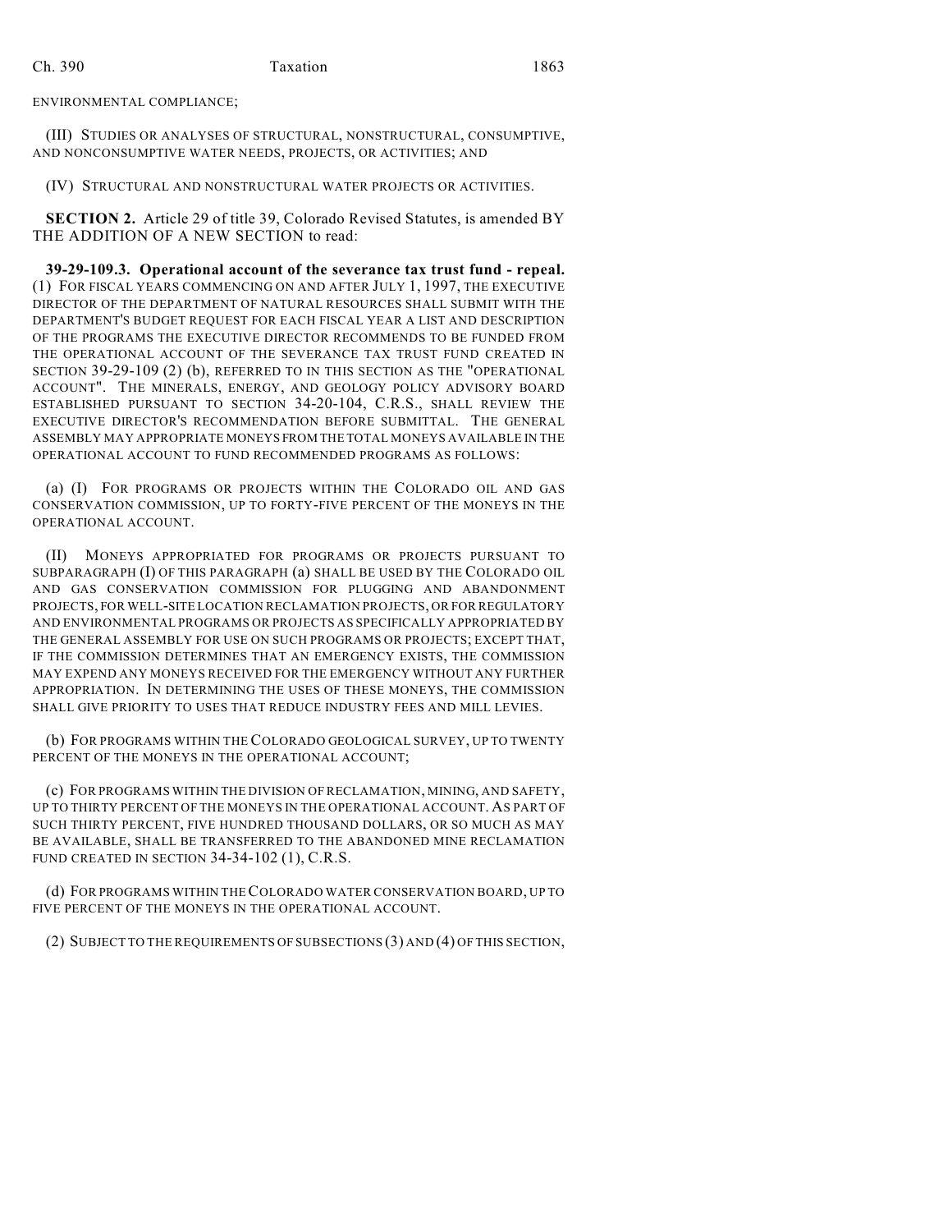ENVIRONMENTAL COMPLIANCE;

(III) STUDIES OR ANALYSES OF STRUCTURAL, NONSTRUCTURAL, CONSUMPTIVE, AND NONCONSUMPTIVE WATER NEEDS, PROJECTS, OR ACTIVITIES; AND

(IV) STRUCTURAL AND NONSTRUCTURAL WATER PROJECTS OR ACTIVITIES.

**SECTION 2.** Article 29 of title 39, Colorado Revised Statutes, is amended BY THE ADDITION OF A NEW SECTION to read:

**39-29-109.3. Operational account of the severance tax trust fund - repeal.** (1) FOR FISCAL YEARS COMMENCING ON AND AFTER JULY 1, 1997, THE EXECUTIVE DIRECTOR OF THE DEPARTMENT OF NATURAL RESOURCES SHALL SUBMIT WITH THE DEPARTMENT'S BUDGET REQUEST FOR EACH FISCAL YEAR A LIST AND DESCRIPTION OF THE PROGRAMS THE EXECUTIVE DIRECTOR RECOMMENDS TO BE FUNDED FROM THE OPERATIONAL ACCOUNT OF THE SEVERANCE TAX TRUST FUND CREATED IN SECTION 39-29-109 (2) (b), REFERRED TO IN THIS SECTION AS THE "OPERATIONAL ACCOUNT". THE MINERALS, ENERGY, AND GEOLOGY POLICY ADVISORY BOARD ESTABLISHED PURSUANT TO SECTION 34-20-104, C.R.S., SHALL REVIEW THE EXECUTIVE DIRECTOR'S RECOMMENDATION BEFORE SUBMITTAL. THE GENERAL ASSEMBLY MAY APPROPRIATE MONEYS FROM THE TOTAL MONEYS AVAILABLE IN THE OPERATIONAL ACCOUNT TO FUND RECOMMENDED PROGRAMS AS FOLLOWS:

(a) (I) FOR PROGRAMS OR PROJECTS WITHIN THE COLORADO OIL AND GAS CONSERVATION COMMISSION, UP TO FORTY-FIVE PERCENT OF THE MONEYS IN THE OPERATIONAL ACCOUNT.

(II) MONEYS APPROPRIATED FOR PROGRAMS OR PROJECTS PURSUANT TO SUBPARAGRAPH (I) OF THIS PARAGRAPH (a) SHALL BE USED BY THE COLORADO OIL AND GAS CONSERVATION COMMISSION FOR PLUGGING AND ABANDONMENT PROJECTS, FOR WELL-SITE LOCATION RECLAMATION PROJECTS, OR FOR REGULATORY AND ENVIRONMENTAL PROGRAMS OR PROJECTS AS SPECIFICALLY APPROPRIATED BY THE GENERAL ASSEMBLY FOR USE ON SUCH PROGRAMS OR PROJECTS; EXCEPT THAT, IF THE COMMISSION DETERMINES THAT AN EMERGENCY EXISTS, THE COMMISSION MAY EXPEND ANY MONEYS RECEIVED FOR THE EMERGENCY WITHOUT ANY FURTHER APPROPRIATION. IN DETERMINING THE USES OF THESE MONEYS, THE COMMISSION SHALL GIVE PRIORITY TO USES THAT REDUCE INDUSTRY FEES AND MILL LEVIES.

(b) FOR PROGRAMS WITHIN THE COLORADO GEOLOGICAL SURVEY, UP TO TWENTY PERCENT OF THE MONEYS IN THE OPERATIONAL ACCOUNT;

(c) FOR PROGRAMS WITHIN THE DIVISION OF RECLAMATION, MINING, AND SAFETY, UP TO THIRTY PERCENT OF THE MONEYS IN THE OPERATIONAL ACCOUNT. AS PART OF SUCH THIRTY PERCENT, FIVE HUNDRED THOUSAND DOLLARS, OR SO MUCH AS MAY BE AVAILABLE, SHALL BE TRANSFERRED TO THE ABANDONED MINE RECLAMATION FUND CREATED IN SECTION 34-34-102 (1), C.R.S.

(d) FOR PROGRAMS WITHIN THE COLORADO WATER CONSERVATION BOARD, UP TO FIVE PERCENT OF THE MONEYS IN THE OPERATIONAL ACCOUNT.

(2) SUBJECT TO THE REQUIREMENTS OF SUBSECTIONS (3) AND (4) OF THIS SECTION,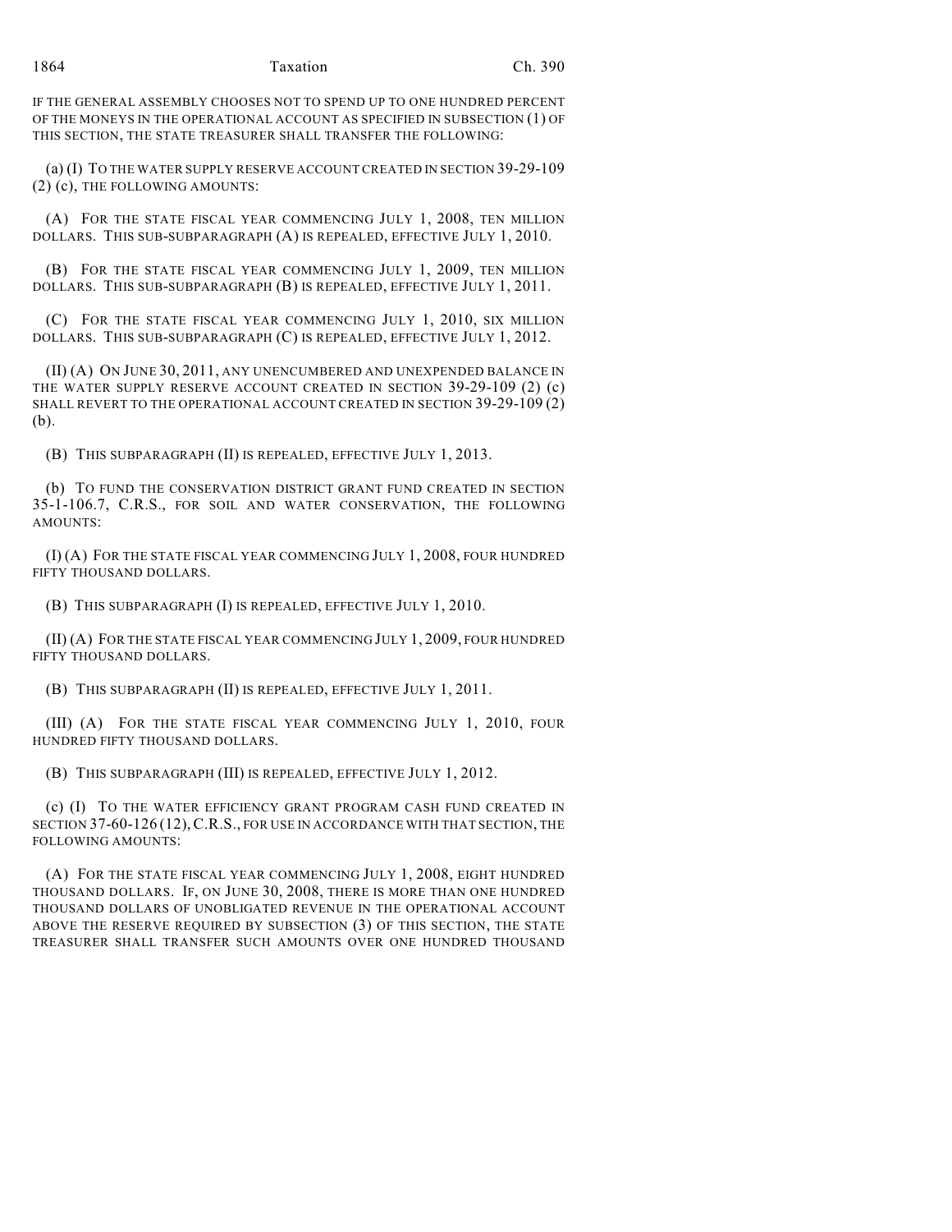#### 1864 Taxation Ch. 390

IF THE GENERAL ASSEMBLY CHOOSES NOT TO SPEND UP TO ONE HUNDRED PERCENT OF THE MONEYS IN THE OPERATIONAL ACCOUNT AS SPECIFIED IN SUBSECTION (1) OF THIS SECTION, THE STATE TREASURER SHALL TRANSFER THE FOLLOWING:

(a) (I) TO THE WATER SUPPLY RESERVE ACCOUNT CREATED IN SECTION 39-29-109 (2) (c), THE FOLLOWING AMOUNTS:

(A) FOR THE STATE FISCAL YEAR COMMENCING JULY 1, 2008, TEN MILLION DOLLARS. THIS SUB-SUBPARAGRAPH (A) IS REPEALED, EFFECTIVE JULY 1, 2010.

(B) FOR THE STATE FISCAL YEAR COMMENCING JULY 1, 2009, TEN MILLION DOLLARS. THIS SUB-SUBPARAGRAPH (B) IS REPEALED, EFFECTIVE JULY 1, 2011.

(C) FOR THE STATE FISCAL YEAR COMMENCING JULY 1, 2010, SIX MILLION DOLLARS. THIS SUB-SUBPARAGRAPH (C) IS REPEALED, EFFECTIVE JULY 1, 2012.

(II) (A) ON JUNE 30, 2011, ANY UNENCUMBERED AND UNEXPENDED BALANCE IN THE WATER SUPPLY RESERVE ACCOUNT CREATED IN SECTION 39-29-109 (2) (c) SHALL REVERT TO THE OPERATIONAL ACCOUNT CREATED IN SECTION 39-29-109 (2) (b).

(B) THIS SUBPARAGRAPH (II) IS REPEALED, EFFECTIVE JULY 1, 2013.

(b) TO FUND THE CONSERVATION DISTRICT GRANT FUND CREATED IN SECTION 35-1-106.7, C.R.S., FOR SOIL AND WATER CONSERVATION, THE FOLLOWING AMOUNTS:

(I) (A) FOR THE STATE FISCAL YEAR COMMENCING JULY 1, 2008, FOUR HUNDRED FIFTY THOUSAND DOLLARS.

(B) THIS SUBPARAGRAPH (I) IS REPEALED, EFFECTIVE JULY 1, 2010.

(II) (A) FOR THE STATE FISCAL YEAR COMMENCING JULY 1, 2009, FOUR HUNDRED FIFTY THOUSAND DOLLARS.

(B) THIS SUBPARAGRAPH (II) IS REPEALED, EFFECTIVE JULY 1, 2011.

(III) (A) FOR THE STATE FISCAL YEAR COMMENCING JULY 1, 2010, FOUR HUNDRED FIFTY THOUSAND DOLLARS.

(B) THIS SUBPARAGRAPH (III) IS REPEALED, EFFECTIVE JULY 1, 2012.

(c) (I) TO THE WATER EFFICIENCY GRANT PROGRAM CASH FUND CREATED IN SECTION 37-60-126 (12),C.R.S., FOR USE IN ACCORDANCE WITH THAT SECTION, THE FOLLOWING AMOUNTS:

(A) FOR THE STATE FISCAL YEAR COMMENCING JULY 1, 2008, EIGHT HUNDRED THOUSAND DOLLARS. IF, ON JUNE 30, 2008, THERE IS MORE THAN ONE HUNDRED THOUSAND DOLLARS OF UNOBLIGATED REVENUE IN THE OPERATIONAL ACCOUNT ABOVE THE RESERVE REQUIRED BY SUBSECTION (3) OF THIS SECTION, THE STATE TREASURER SHALL TRANSFER SUCH AMOUNTS OVER ONE HUNDRED THOUSAND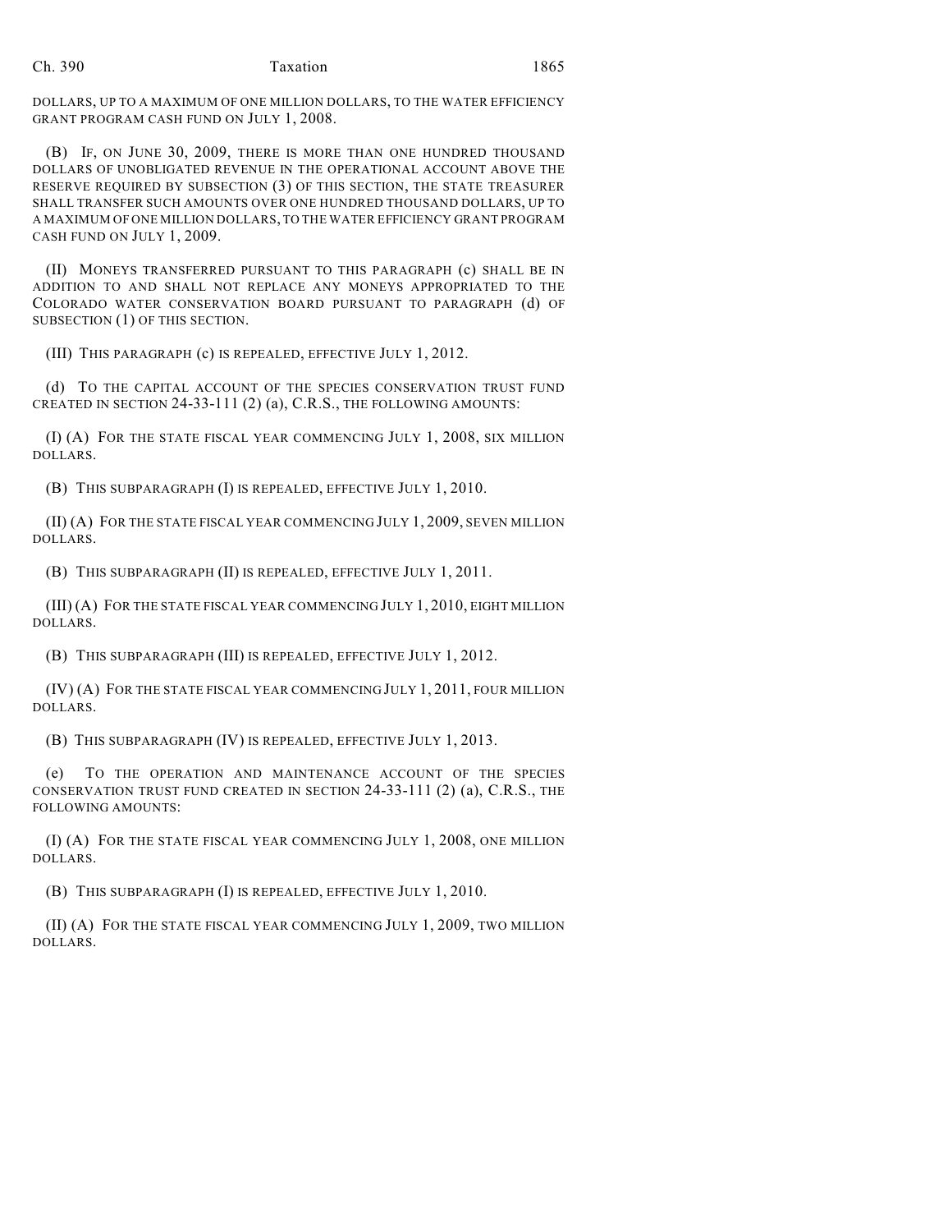DOLLARS, UP TO A MAXIMUM OF ONE MILLION DOLLARS, TO THE WATER EFFICIENCY GRANT PROGRAM CASH FUND ON JULY 1, 2008.

(B) IF, ON JUNE 30, 2009, THERE IS MORE THAN ONE HUNDRED THOUSAND DOLLARS OF UNOBLIGATED REVENUE IN THE OPERATIONAL ACCOUNT ABOVE THE RESERVE REQUIRED BY SUBSECTION (3) OF THIS SECTION, THE STATE TREASURER SHALL TRANSFER SUCH AMOUNTS OVER ONE HUNDRED THOUSAND DOLLARS, UP TO A MAXIMUM OF ONE MILLION DOLLARS, TO THE WATER EFFICIENCY GRANT PROGRAM CASH FUND ON JULY 1, 2009.

(II) MONEYS TRANSFERRED PURSUANT TO THIS PARAGRAPH (c) SHALL BE IN ADDITION TO AND SHALL NOT REPLACE ANY MONEYS APPROPRIATED TO THE COLORADO WATER CONSERVATION BOARD PURSUANT TO PARAGRAPH (d) OF SUBSECTION (1) OF THIS SECTION.

(III) THIS PARAGRAPH (c) IS REPEALED, EFFECTIVE JULY 1, 2012.

(d) TO THE CAPITAL ACCOUNT OF THE SPECIES CONSERVATION TRUST FUND CREATED IN SECTION 24-33-111 (2) (a), C.R.S., THE FOLLOWING AMOUNTS:

(I) (A) FOR THE STATE FISCAL YEAR COMMENCING JULY 1, 2008, SIX MILLION DOLLARS.

(B) THIS SUBPARAGRAPH (I) IS REPEALED, EFFECTIVE JULY 1, 2010.

(II) (A) FOR THE STATE FISCAL YEAR COMMENCING JULY 1, 2009, SEVEN MILLION DOLLARS.

(B) THIS SUBPARAGRAPH (II) IS REPEALED, EFFECTIVE JULY 1, 2011.

(III) (A) FOR THE STATE FISCAL YEAR COMMENCING JULY 1, 2010, EIGHT MILLION DOLLARS.

(B) THIS SUBPARAGRAPH (III) IS REPEALED, EFFECTIVE JULY 1, 2012.

(IV) (A) FOR THE STATE FISCAL YEAR COMMENCING JULY 1, 2011, FOUR MILLION DOLLARS.

(B) THIS SUBPARAGRAPH (IV) IS REPEALED, EFFECTIVE JULY 1, 2013.

(e) TO THE OPERATION AND MAINTENANCE ACCOUNT OF THE SPECIES CONSERVATION TRUST FUND CREATED IN SECTION 24-33-111 (2) (a), C.R.S., THE FOLLOWING AMOUNTS:

(I) (A) FOR THE STATE FISCAL YEAR COMMENCING JULY 1, 2008, ONE MILLION DOLLARS.

(B) THIS SUBPARAGRAPH (I) IS REPEALED, EFFECTIVE JULY 1, 2010.

(II) (A) FOR THE STATE FISCAL YEAR COMMENCING JULY 1, 2009, TWO MILLION DOLLARS.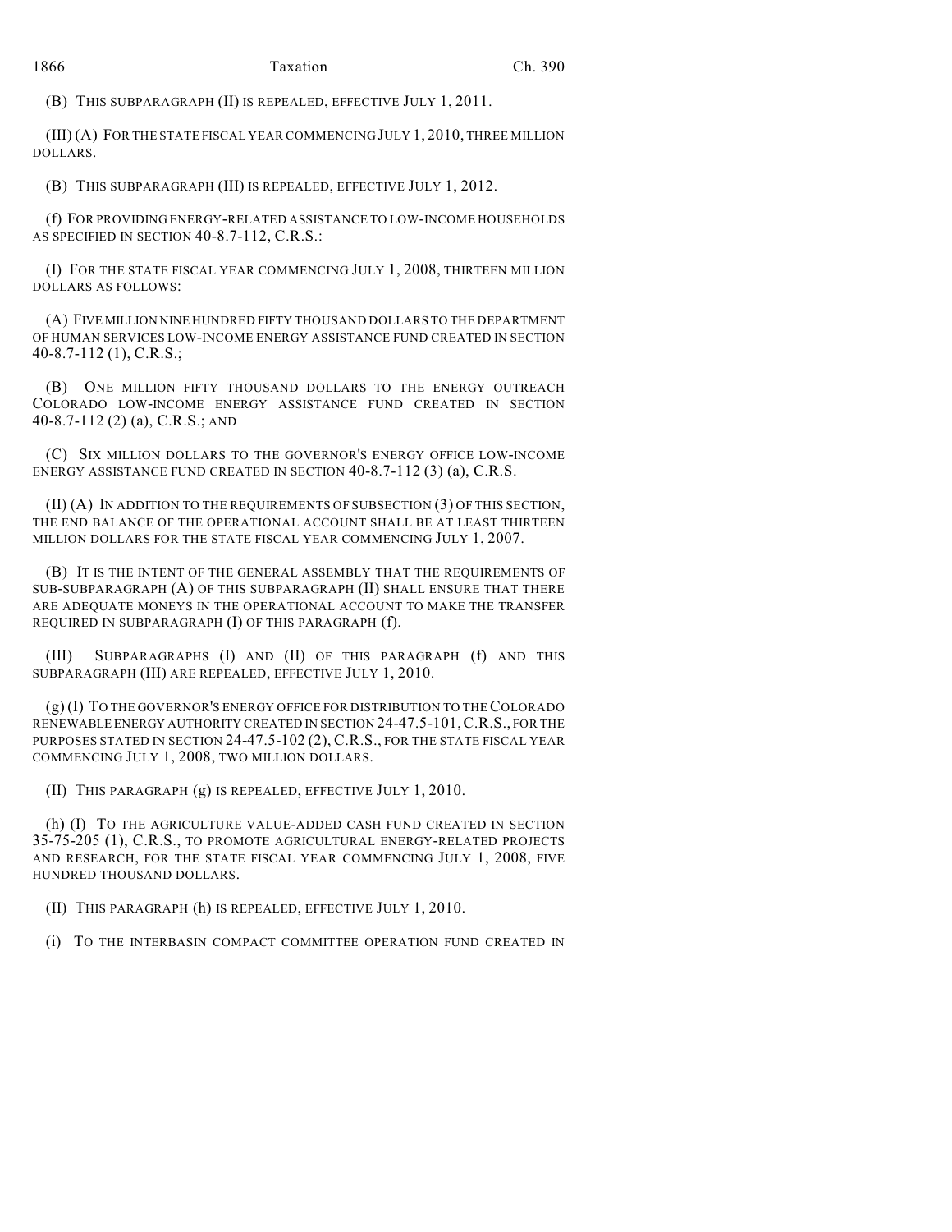(B) THIS SUBPARAGRAPH (II) IS REPEALED, EFFECTIVE JULY 1, 2011.

(III) (A) FOR THE STATE FISCAL YEAR COMMENCING JULY 1, 2010, THREE MILLION DOLLARS.

(B) THIS SUBPARAGRAPH (III) IS REPEALED, EFFECTIVE JULY 1, 2012.

(f) FOR PROVIDING ENERGY-RELATED ASSISTANCE TO LOW-INCOME HOUSEHOLDS AS SPECIFIED IN SECTION 40-8.7-112, C.R.S.:

(I) FOR THE STATE FISCAL YEAR COMMENCING JULY 1, 2008, THIRTEEN MILLION DOLLARS AS FOLLOWS:

(A) FIVE MILLION NINE HUNDRED FIFTY THOUSAND DOLLARS TO THE DEPARTMENT OF HUMAN SERVICES LOW-INCOME ENERGY ASSISTANCE FUND CREATED IN SECTION 40-8.7-112 (1), C.R.S.;

(B) ONE MILLION FIFTY THOUSAND DOLLARS TO THE ENERGY OUTREACH COLORADO LOW-INCOME ENERGY ASSISTANCE FUND CREATED IN SECTION 40-8.7-112 (2) (a), C.R.S.; AND

(C) SIX MILLION DOLLARS TO THE GOVERNOR'S ENERGY OFFICE LOW-INCOME ENERGY ASSISTANCE FUND CREATED IN SECTION 40-8.7-112 (3) (a), C.R.S.

(II) (A) IN ADDITION TO THE REQUIREMENTS OF SUBSECTION (3) OF THIS SECTION, THE END BALANCE OF THE OPERATIONAL ACCOUNT SHALL BE AT LEAST THIRTEEN MILLION DOLLARS FOR THE STATE FISCAL YEAR COMMENCING JULY 1, 2007.

(B) IT IS THE INTENT OF THE GENERAL ASSEMBLY THAT THE REQUIREMENTS OF SUB-SUBPARAGRAPH (A) OF THIS SUBPARAGRAPH (II) SHALL ENSURE THAT THERE ARE ADEQUATE MONEYS IN THE OPERATIONAL ACCOUNT TO MAKE THE TRANSFER REQUIRED IN SUBPARAGRAPH (I) OF THIS PARAGRAPH (f).

(III) SUBPARAGRAPHS (I) AND (II) OF THIS PARAGRAPH (f) AND THIS SUBPARAGRAPH (III) ARE REPEALED, EFFECTIVE JULY 1, 2010.

(g) (I) TO THE GOVERNOR'S ENERGY OFFICE FOR DISTRIBUTION TO THE COLORADO RENEWABLE ENERGY AUTHORITY CREATED IN SECTION 24-47.5-101,C.R.S., FOR THE PURPOSES STATED IN SECTION 24-47.5-102 (2), C.R.S., FOR THE STATE FISCAL YEAR COMMENCING JULY 1, 2008, TWO MILLION DOLLARS.

(II) THIS PARAGRAPH (g) IS REPEALED, EFFECTIVE JULY 1, 2010.

(h) (I) TO THE AGRICULTURE VALUE-ADDED CASH FUND CREATED IN SECTION 35-75-205 (1), C.R.S., TO PROMOTE AGRICULTURAL ENERGY-RELATED PROJECTS AND RESEARCH, FOR THE STATE FISCAL YEAR COMMENCING JULY 1, 2008, FIVE HUNDRED THOUSAND DOLLARS.

(II) THIS PARAGRAPH (h) IS REPEALED, EFFECTIVE JULY 1, 2010.

(i) TO THE INTERBASIN COMPACT COMMITTEE OPERATION FUND CREATED IN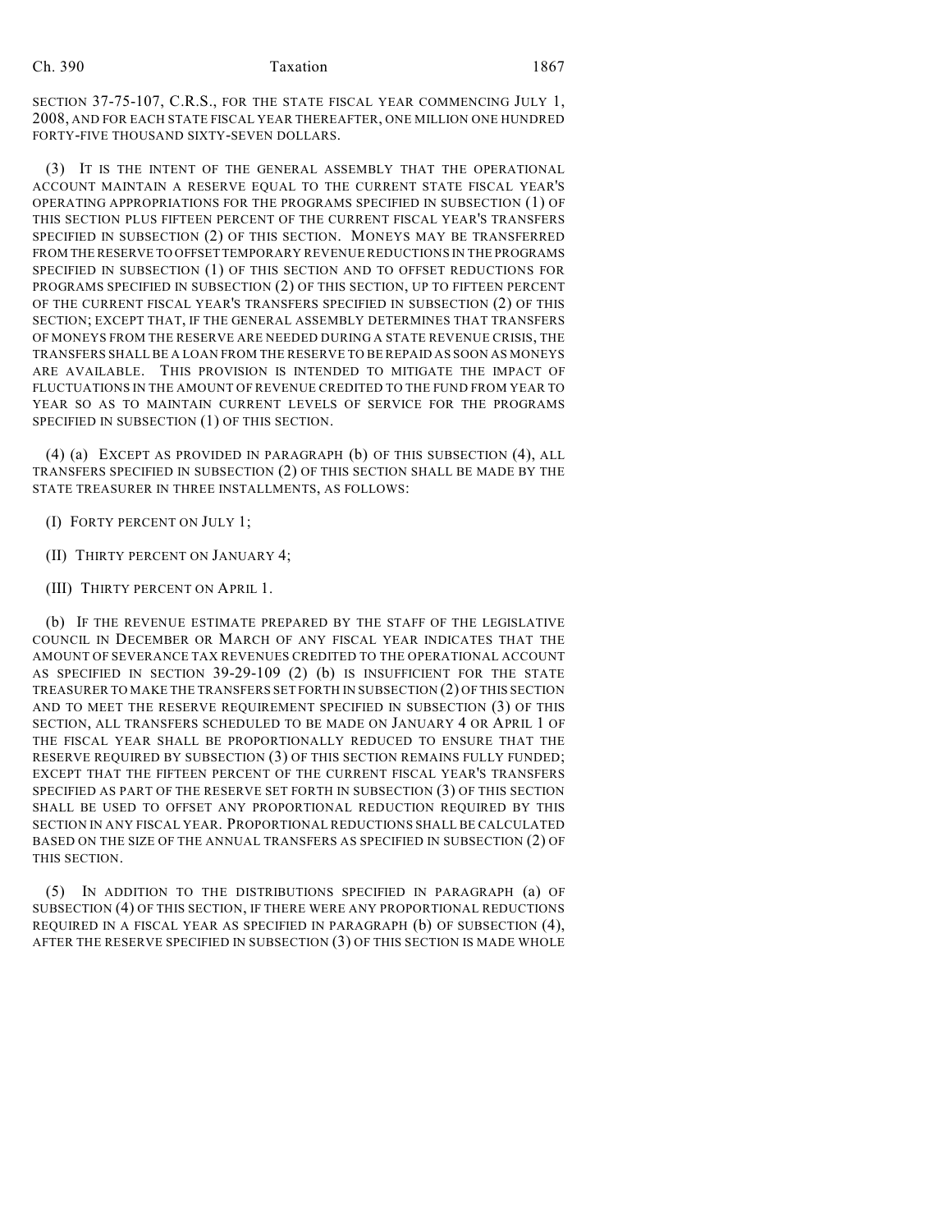SECTION 37-75-107, C.R.S., FOR THE STATE FISCAL YEAR COMMENCING JULY 1, 2008, AND FOR EACH STATE FISCAL YEAR THEREAFTER, ONE MILLION ONE HUNDRED FORTY-FIVE THOUSAND SIXTY-SEVEN DOLLARS.

(3) IT IS THE INTENT OF THE GENERAL ASSEMBLY THAT THE OPERATIONAL ACCOUNT MAINTAIN A RESERVE EQUAL TO THE CURRENT STATE FISCAL YEAR'S OPERATING APPROPRIATIONS FOR THE PROGRAMS SPECIFIED IN SUBSECTION (1) OF THIS SECTION PLUS FIFTEEN PERCENT OF THE CURRENT FISCAL YEAR'S TRANSFERS SPECIFIED IN SUBSECTION (2) OF THIS SECTION. MONEYS MAY BE TRANSFERRED FROM THE RESERVE TO OFFSET TEMPORARY REVENUE REDUCTIONS IN THE PROGRAMS SPECIFIED IN SUBSECTION (1) OF THIS SECTION AND TO OFFSET REDUCTIONS FOR PROGRAMS SPECIFIED IN SUBSECTION (2) OF THIS SECTION, UP TO FIFTEEN PERCENT OF THE CURRENT FISCAL YEAR'S TRANSFERS SPECIFIED IN SUBSECTION (2) OF THIS SECTION; EXCEPT THAT, IF THE GENERAL ASSEMBLY DETERMINES THAT TRANSFERS OF MONEYS FROM THE RESERVE ARE NEEDED DURING A STATE REVENUE CRISIS, THE TRANSFERS SHALL BE A LOAN FROM THE RESERVE TO BE REPAID AS SOON AS MONEYS ARE AVAILABLE. THIS PROVISION IS INTENDED TO MITIGATE THE IMPACT OF FLUCTUATIONS IN THE AMOUNT OF REVENUE CREDITED TO THE FUND FROM YEAR TO YEAR SO AS TO MAINTAIN CURRENT LEVELS OF SERVICE FOR THE PROGRAMS SPECIFIED IN SUBSECTION (1) OF THIS SECTION.

(4) (a) EXCEPT AS PROVIDED IN PARAGRAPH (b) OF THIS SUBSECTION (4), ALL TRANSFERS SPECIFIED IN SUBSECTION (2) OF THIS SECTION SHALL BE MADE BY THE STATE TREASURER IN THREE INSTALLMENTS, AS FOLLOWS:

- (I) FORTY PERCENT ON JULY 1;
- (II) THIRTY PERCENT ON JANUARY 4;
- (III) THIRTY PERCENT ON APRIL 1.

(b) IF THE REVENUE ESTIMATE PREPARED BY THE STAFF OF THE LEGISLATIVE COUNCIL IN DECEMBER OR MARCH OF ANY FISCAL YEAR INDICATES THAT THE AMOUNT OF SEVERANCE TAX REVENUES CREDITED TO THE OPERATIONAL ACCOUNT AS SPECIFIED IN SECTION 39-29-109 (2) (b) IS INSUFFICIENT FOR THE STATE TREASURER TO MAKE THE TRANSFERS SET FORTH IN SUBSECTION (2) OF THIS SECTION AND TO MEET THE RESERVE REQUIREMENT SPECIFIED IN SUBSECTION (3) OF THIS SECTION, ALL TRANSFERS SCHEDULED TO BE MADE ON JANUARY 4 OR APRIL 1 OF THE FISCAL YEAR SHALL BE PROPORTIONALLY REDUCED TO ENSURE THAT THE RESERVE REQUIRED BY SUBSECTION (3) OF THIS SECTION REMAINS FULLY FUNDED; EXCEPT THAT THE FIFTEEN PERCENT OF THE CURRENT FISCAL YEAR'S TRANSFERS SPECIFIED AS PART OF THE RESERVE SET FORTH IN SUBSECTION (3) OF THIS SECTION SHALL BE USED TO OFFSET ANY PROPORTIONAL REDUCTION REQUIRED BY THIS SECTION IN ANY FISCAL YEAR. PROPORTIONAL REDUCTIONS SHALL BE CALCULATED BASED ON THE SIZE OF THE ANNUAL TRANSFERS AS SPECIFIED IN SUBSECTION (2) OF THIS SECTION.

(5) IN ADDITION TO THE DISTRIBUTIONS SPECIFIED IN PARAGRAPH (a) OF SUBSECTION (4) OF THIS SECTION, IF THERE WERE ANY PROPORTIONAL REDUCTIONS REQUIRED IN A FISCAL YEAR AS SPECIFIED IN PARAGRAPH (b) OF SUBSECTION (4), AFTER THE RESERVE SPECIFIED IN SUBSECTION (3) OF THIS SECTION IS MADE WHOLE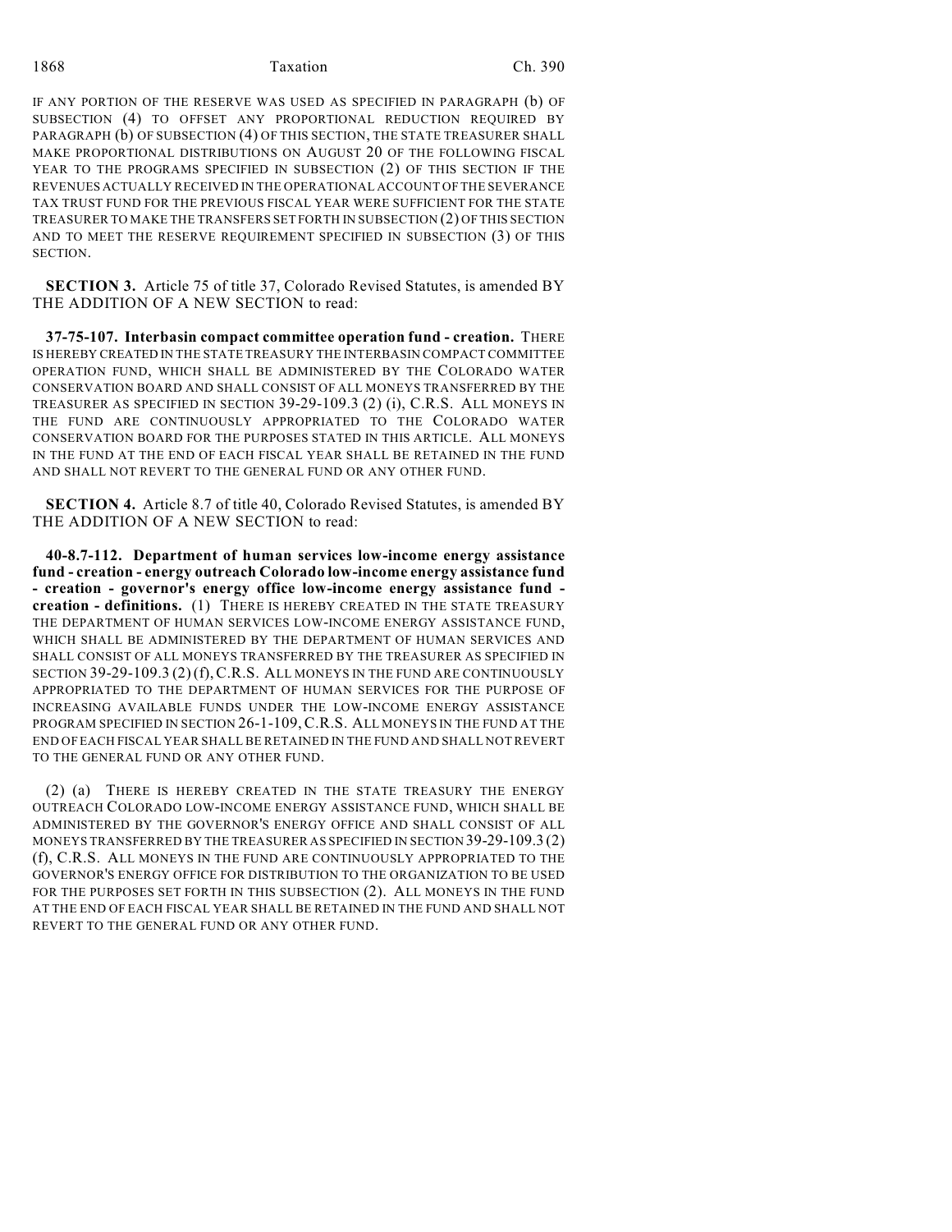1868 Taxation Ch. 390

IF ANY PORTION OF THE RESERVE WAS USED AS SPECIFIED IN PARAGRAPH (b) OF SUBSECTION (4) TO OFFSET ANY PROPORTIONAL REDUCTION REQUIRED BY PARAGRAPH (b) OF SUBSECTION (4) OF THIS SECTION, THE STATE TREASURER SHALL MAKE PROPORTIONAL DISTRIBUTIONS ON AUGUST 20 OF THE FOLLOWING FISCAL YEAR TO THE PROGRAMS SPECIFIED IN SUBSECTION (2) OF THIS SECTION IF THE REVENUES ACTUALLY RECEIVED IN THE OPERATIONAL ACCOUNT OF THE SEVERANCE TAX TRUST FUND FOR THE PREVIOUS FISCAL YEAR WERE SUFFICIENT FOR THE STATE TREASURER TO MAKE THE TRANSFERS SET FORTH IN SUBSECTION (2) OF THIS SECTION AND TO MEET THE RESERVE REQUIREMENT SPECIFIED IN SUBSECTION (3) OF THIS SECTION.

**SECTION 3.** Article 75 of title 37, Colorado Revised Statutes, is amended BY THE ADDITION OF A NEW SECTION to read:

**37-75-107. Interbasin compact committee operation fund - creation.** THERE IS HEREBY CREATED IN THE STATE TREASURY THE INTERBASIN COMPACT COMMITTEE OPERATION FUND, WHICH SHALL BE ADMINISTERED BY THE COLORADO WATER CONSERVATION BOARD AND SHALL CONSIST OF ALL MONEYS TRANSFERRED BY THE TREASURER AS SPECIFIED IN SECTION 39-29-109.3 (2) (i), C.R.S. ALL MONEYS IN THE FUND ARE CONTINUOUSLY APPROPRIATED TO THE COLORADO WATER CONSERVATION BOARD FOR THE PURPOSES STATED IN THIS ARTICLE. ALL MONEYS IN THE FUND AT THE END OF EACH FISCAL YEAR SHALL BE RETAINED IN THE FUND AND SHALL NOT REVERT TO THE GENERAL FUND OR ANY OTHER FUND.

**SECTION 4.** Article 8.7 of title 40, Colorado Revised Statutes, is amended BY THE ADDITION OF A NEW SECTION to read:

**40-8.7-112. Department of human services low-income energy assistance fund - creation - energy outreach Colorado low-income energy assistance fund - creation - governor's energy office low-income energy assistance fund creation - definitions.** (1) THERE IS HEREBY CREATED IN THE STATE TREASURY THE DEPARTMENT OF HUMAN SERVICES LOW-INCOME ENERGY ASSISTANCE FUND, WHICH SHALL BE ADMINISTERED BY THE DEPARTMENT OF HUMAN SERVICES AND SHALL CONSIST OF ALL MONEYS TRANSFERRED BY THE TREASURER AS SPECIFIED IN SECTION 39-29-109.3 (2)(f),C.R.S. ALL MONEYS IN THE FUND ARE CONTINUOUSLY APPROPRIATED TO THE DEPARTMENT OF HUMAN SERVICES FOR THE PURPOSE OF INCREASING AVAILABLE FUNDS UNDER THE LOW-INCOME ENERGY ASSISTANCE PROGRAM SPECIFIED IN SECTION 26-1-109,C.R.S. ALL MONEYS IN THE FUND AT THE END OF EACH FISCAL YEAR SHALL BE RETAINED IN THE FUND AND SHALL NOT REVERT TO THE GENERAL FUND OR ANY OTHER FUND.

(2) (a) THERE IS HEREBY CREATED IN THE STATE TREASURY THE ENERGY OUTREACH COLORADO LOW-INCOME ENERGY ASSISTANCE FUND, WHICH SHALL BE ADMINISTERED BY THE GOVERNOR'S ENERGY OFFICE AND SHALL CONSIST OF ALL MONEYS TRANSFERRED BY THE TREASURER AS SPECIFIED IN SECTION 39-29-109.3 (2) (f), C.R.S. ALL MONEYS IN THE FUND ARE CONTINUOUSLY APPROPRIATED TO THE GOVERNOR'S ENERGY OFFICE FOR DISTRIBUTION TO THE ORGANIZATION TO BE USED FOR THE PURPOSES SET FORTH IN THIS SUBSECTION (2). ALL MONEYS IN THE FUND AT THE END OF EACH FISCAL YEAR SHALL BE RETAINED IN THE FUND AND SHALL NOT REVERT TO THE GENERAL FUND OR ANY OTHER FUND.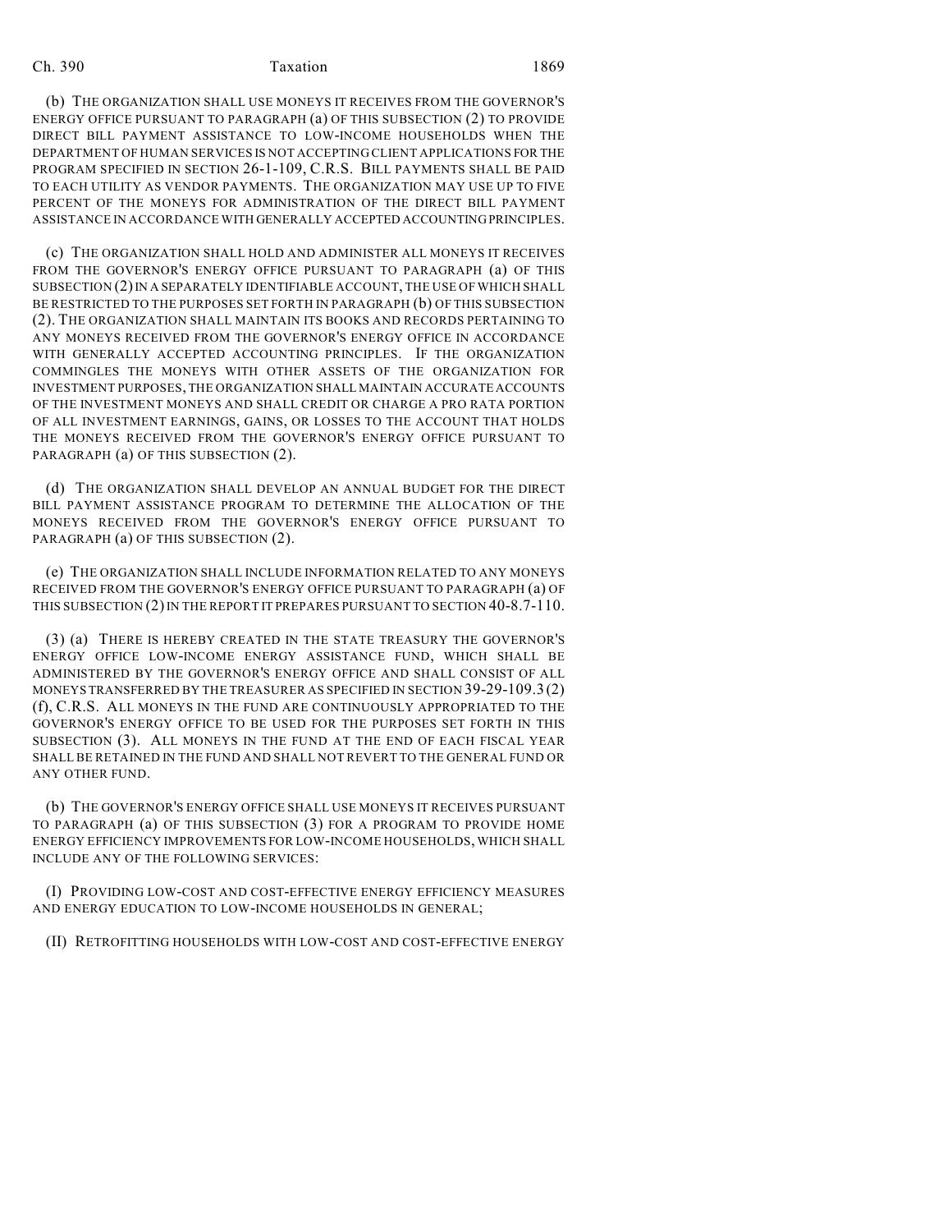(b) THE ORGANIZATION SHALL USE MONEYS IT RECEIVES FROM THE GOVERNOR'S ENERGY OFFICE PURSUANT TO PARAGRAPH (a) OF THIS SUBSECTION (2) TO PROVIDE DIRECT BILL PAYMENT ASSISTANCE TO LOW-INCOME HOUSEHOLDS WHEN THE DEPARTMENT OF HUMAN SERVICES IS NOT ACCEPTING CLIENT APPLICATIONS FOR THE PROGRAM SPECIFIED IN SECTION 26-1-109, C.R.S. BILL PAYMENTS SHALL BE PAID TO EACH UTILITY AS VENDOR PAYMENTS. THE ORGANIZATION MAY USE UP TO FIVE PERCENT OF THE MONEYS FOR ADMINISTRATION OF THE DIRECT BILL PAYMENT ASSISTANCE IN ACCORDANCE WITH GENERALLY ACCEPTED ACCOUNTING PRINCIPLES.

(c) THE ORGANIZATION SHALL HOLD AND ADMINISTER ALL MONEYS IT RECEIVES FROM THE GOVERNOR'S ENERGY OFFICE PURSUANT TO PARAGRAPH (a) OF THIS SUBSECTION (2) IN A SEPARATELY IDENTIFIABLE ACCOUNT, THE USE OF WHICH SHALL BE RESTRICTED TO THE PURPOSES SET FORTH IN PARAGRAPH (b) OF THIS SUBSECTION (2). THE ORGANIZATION SHALL MAINTAIN ITS BOOKS AND RECORDS PERTAINING TO ANY MONEYS RECEIVED FROM THE GOVERNOR'S ENERGY OFFICE IN ACCORDANCE WITH GENERALLY ACCEPTED ACCOUNTING PRINCIPLES. IF THE ORGANIZATION COMMINGLES THE MONEYS WITH OTHER ASSETS OF THE ORGANIZATION FOR INVESTMENT PURPOSES, THE ORGANIZATION SHALL MAINTAIN ACCURATE ACCOUNTS OF THE INVESTMENT MONEYS AND SHALL CREDIT OR CHARGE A PRO RATA PORTION OF ALL INVESTMENT EARNINGS, GAINS, OR LOSSES TO THE ACCOUNT THAT HOLDS THE MONEYS RECEIVED FROM THE GOVERNOR'S ENERGY OFFICE PURSUANT TO PARAGRAPH (a) OF THIS SUBSECTION (2).

(d) THE ORGANIZATION SHALL DEVELOP AN ANNUAL BUDGET FOR THE DIRECT BILL PAYMENT ASSISTANCE PROGRAM TO DETERMINE THE ALLOCATION OF THE MONEYS RECEIVED FROM THE GOVERNOR'S ENERGY OFFICE PURSUANT TO PARAGRAPH (a) OF THIS SUBSECTION (2).

(e) THE ORGANIZATION SHALL INCLUDE INFORMATION RELATED TO ANY MONEYS RECEIVED FROM THE GOVERNOR'S ENERGY OFFICE PURSUANT TO PARAGRAPH (a) OF THIS SUBSECTION (2) IN THE REPORT IT PREPARES PURSUANT TO SECTION 40-8.7-110.

(3) (a) THERE IS HEREBY CREATED IN THE STATE TREASURY THE GOVERNOR'S ENERGY OFFICE LOW-INCOME ENERGY ASSISTANCE FUND, WHICH SHALL BE ADMINISTERED BY THE GOVERNOR'S ENERGY OFFICE AND SHALL CONSIST OF ALL MONEYS TRANSFERRED BY THE TREASURER AS SPECIFIED IN SECTION 39-29-109.3 (2) (f), C.R.S. ALL MONEYS IN THE FUND ARE CONTINUOUSLY APPROPRIATED TO THE GOVERNOR'S ENERGY OFFICE TO BE USED FOR THE PURPOSES SET FORTH IN THIS SUBSECTION (3). ALL MONEYS IN THE FUND AT THE END OF EACH FISCAL YEAR SHALL BE RETAINED IN THE FUND AND SHALL NOT REVERT TO THE GENERAL FUND OR ANY OTHER FUND.

(b) THE GOVERNOR'S ENERGY OFFICE SHALL USE MONEYS IT RECEIVES PURSUANT TO PARAGRAPH (a) OF THIS SUBSECTION (3) FOR A PROGRAM TO PROVIDE HOME ENERGY EFFICIENCY IMPROVEMENTS FOR LOW-INCOME HOUSEHOLDS, WHICH SHALL INCLUDE ANY OF THE FOLLOWING SERVICES:

(I) PROVIDING LOW-COST AND COST-EFFECTIVE ENERGY EFFICIENCY MEASURES AND ENERGY EDUCATION TO LOW-INCOME HOUSEHOLDS IN GENERAL;

(II) RETROFITTING HOUSEHOLDS WITH LOW-COST AND COST-EFFECTIVE ENERGY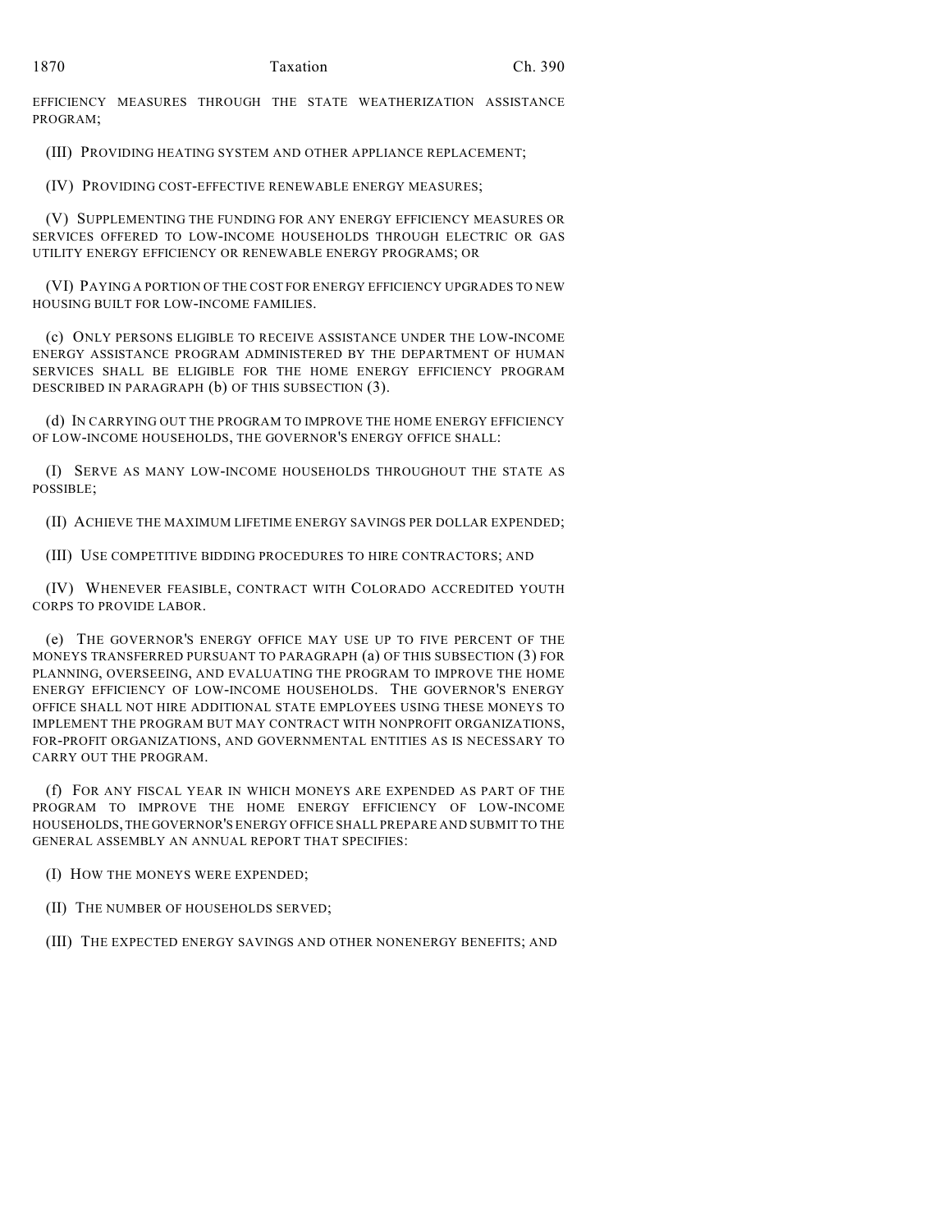EFFICIENCY MEASURES THROUGH THE STATE WEATHERIZATION ASSISTANCE PROGRAM;

(III) PROVIDING HEATING SYSTEM AND OTHER APPLIANCE REPLACEMENT;

(IV) PROVIDING COST-EFFECTIVE RENEWABLE ENERGY MEASURES;

(V) SUPPLEMENTING THE FUNDING FOR ANY ENERGY EFFICIENCY MEASURES OR SERVICES OFFERED TO LOW-INCOME HOUSEHOLDS THROUGH ELECTRIC OR GAS UTILITY ENERGY EFFICIENCY OR RENEWABLE ENERGY PROGRAMS; OR

(VI) PAYING A PORTION OF THE COST FOR ENERGY EFFICIENCY UPGRADES TO NEW HOUSING BUILT FOR LOW-INCOME FAMILIES.

(c) ONLY PERSONS ELIGIBLE TO RECEIVE ASSISTANCE UNDER THE LOW-INCOME ENERGY ASSISTANCE PROGRAM ADMINISTERED BY THE DEPARTMENT OF HUMAN SERVICES SHALL BE ELIGIBLE FOR THE HOME ENERGY EFFICIENCY PROGRAM DESCRIBED IN PARAGRAPH (b) OF THIS SUBSECTION (3).

(d) IN CARRYING OUT THE PROGRAM TO IMPROVE THE HOME ENERGY EFFICIENCY OF LOW-INCOME HOUSEHOLDS, THE GOVERNOR'S ENERGY OFFICE SHALL:

(I) SERVE AS MANY LOW-INCOME HOUSEHOLDS THROUGHOUT THE STATE AS POSSIBLE;

(II) ACHIEVE THE MAXIMUM LIFETIME ENERGY SAVINGS PER DOLLAR EXPENDED;

(III) USE COMPETITIVE BIDDING PROCEDURES TO HIRE CONTRACTORS; AND

(IV) WHENEVER FEASIBLE, CONTRACT WITH COLORADO ACCREDITED YOUTH CORPS TO PROVIDE LABOR.

(e) THE GOVERNOR'S ENERGY OFFICE MAY USE UP TO FIVE PERCENT OF THE MONEYS TRANSFERRED PURSUANT TO PARAGRAPH (a) OF THIS SUBSECTION (3) FOR PLANNING, OVERSEEING, AND EVALUATING THE PROGRAM TO IMPROVE THE HOME ENERGY EFFICIENCY OF LOW-INCOME HOUSEHOLDS. THE GOVERNOR'S ENERGY OFFICE SHALL NOT HIRE ADDITIONAL STATE EMPLOYEES USING THESE MONEYS TO IMPLEMENT THE PROGRAM BUT MAY CONTRACT WITH NONPROFIT ORGANIZATIONS, FOR-PROFIT ORGANIZATIONS, AND GOVERNMENTAL ENTITIES AS IS NECESSARY TO CARRY OUT THE PROGRAM.

(f) FOR ANY FISCAL YEAR IN WHICH MONEYS ARE EXPENDED AS PART OF THE PROGRAM TO IMPROVE THE HOME ENERGY EFFICIENCY OF LOW-INCOME HOUSEHOLDS, THE GOVERNOR'S ENERGY OFFICE SHALL PREPARE AND SUBMIT TO THE GENERAL ASSEMBLY AN ANNUAL REPORT THAT SPECIFIES:

(I) HOW THE MONEYS WERE EXPENDED;

(II) THE NUMBER OF HOUSEHOLDS SERVED;

(III) THE EXPECTED ENERGY SAVINGS AND OTHER NONENERGY BENEFITS; AND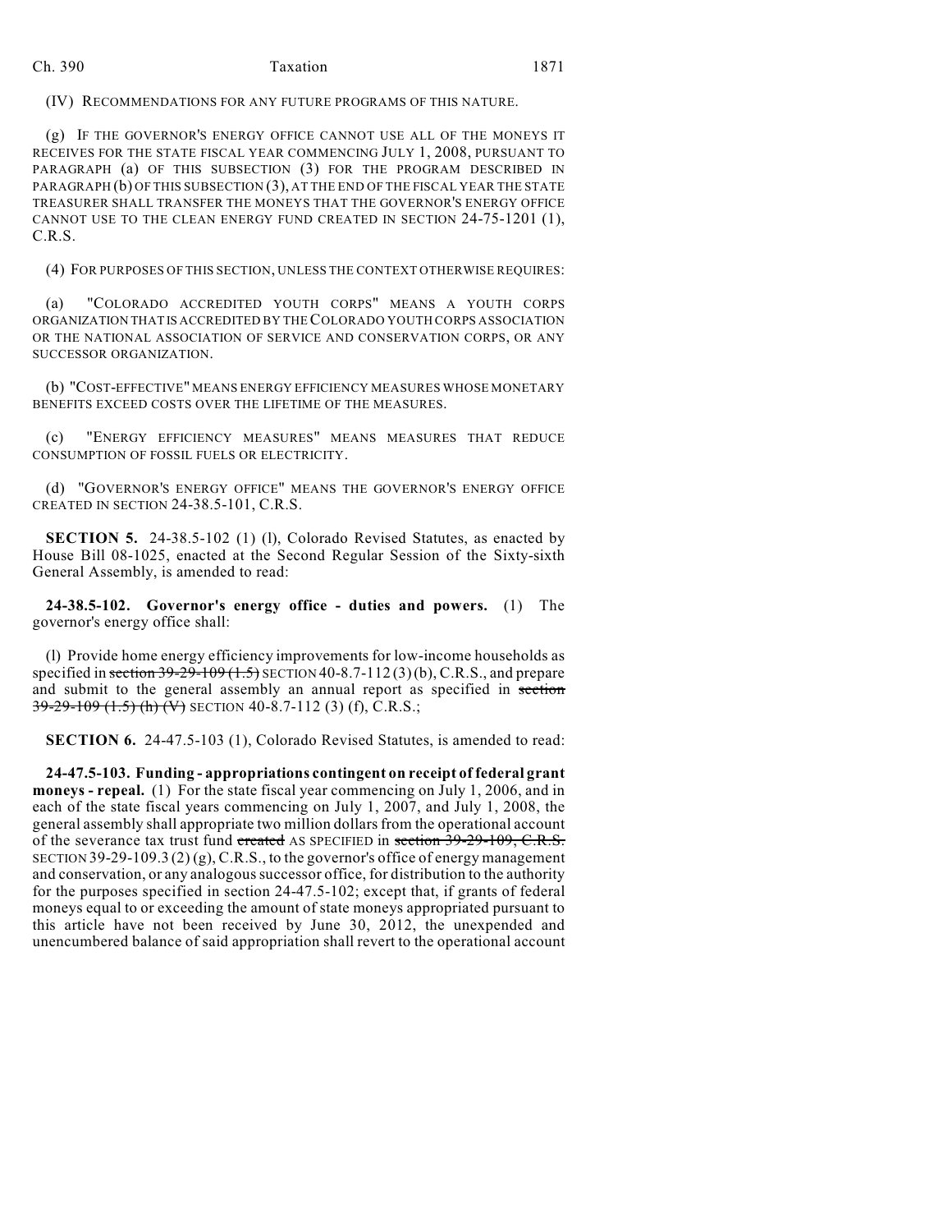(IV) RECOMMENDATIONS FOR ANY FUTURE PROGRAMS OF THIS NATURE.

(g) IF THE GOVERNOR'S ENERGY OFFICE CANNOT USE ALL OF THE MONEYS IT RECEIVES FOR THE STATE FISCAL YEAR COMMENCING JULY 1, 2008, PURSUANT TO PARAGRAPH (a) OF THIS SUBSECTION (3) FOR THE PROGRAM DESCRIBED IN PARAGRAPH (b) OF THIS SUBSECTION (3), AT THE END OF THE FISCAL YEAR THE STATE TREASURER SHALL TRANSFER THE MONEYS THAT THE GOVERNOR'S ENERGY OFFICE CANNOT USE TO THE CLEAN ENERGY FUND CREATED IN SECTION 24-75-1201 (1), C.R.S.

(4) FOR PURPOSES OF THIS SECTION, UNLESS THE CONTEXT OTHERWISE REQUIRES:

(a) "COLORADO ACCREDITED YOUTH CORPS" MEANS A YOUTH CORPS ORGANIZATION THAT IS ACCREDITED BY THE COLORADO YOUTH CORPS ASSOCIATION OR THE NATIONAL ASSOCIATION OF SERVICE AND CONSERVATION CORPS, OR ANY SUCCESSOR ORGANIZATION.

(b) "COST-EFFECTIVE" MEANS ENERGY EFFICIENCY MEASURES WHOSE MONETARY BENEFITS EXCEED COSTS OVER THE LIFETIME OF THE MEASURES.

(c) "ENERGY EFFICIENCY MEASURES" MEANS MEASURES THAT REDUCE CONSUMPTION OF FOSSIL FUELS OR ELECTRICITY.

(d) "GOVERNOR'S ENERGY OFFICE" MEANS THE GOVERNOR'S ENERGY OFFICE CREATED IN SECTION 24-38.5-101, C.R.S.

**SECTION 5.** 24-38.5-102 (1) (l), Colorado Revised Statutes, as enacted by House Bill 08-1025, enacted at the Second Regular Session of the Sixty-sixth General Assembly, is amended to read:

**24-38.5-102. Governor's energy office - duties and powers.** (1) The governor's energy office shall:

(l) Provide home energy efficiency improvements for low-income households as specified in section  $39-29-109$  (1.5) SECTION 40-8.7-112 (3)(b), C.R.S., and prepare and submit to the general assembly an annual report as specified in section 39-29-109 (1.5) (h) (V) SECTION 40-8.7-112 (3) (f), C.R.S.;

**SECTION 6.** 24-47.5-103 (1), Colorado Revised Statutes, is amended to read:

**24-47.5-103. Funding - appropriations contingent on receipt of federal grant moneys - repeal.** (1) For the state fiscal year commencing on July 1, 2006, and in each of the state fiscal years commencing on July 1, 2007, and July 1, 2008, the general assembly shall appropriate two million dollars from the operational account of the severance tax trust fund created AS SPECIFIED in section 39-29-109, C.R.S. SECTION 39-29-109.3  $(2)(g)$ , C.R.S., to the governor's office of energy management and conservation, or any analogous successor office, for distribution to the authority for the purposes specified in section 24-47.5-102; except that, if grants of federal moneys equal to or exceeding the amount of state moneys appropriated pursuant to this article have not been received by June 30, 2012, the unexpended and unencumbered balance of said appropriation shall revert to the operational account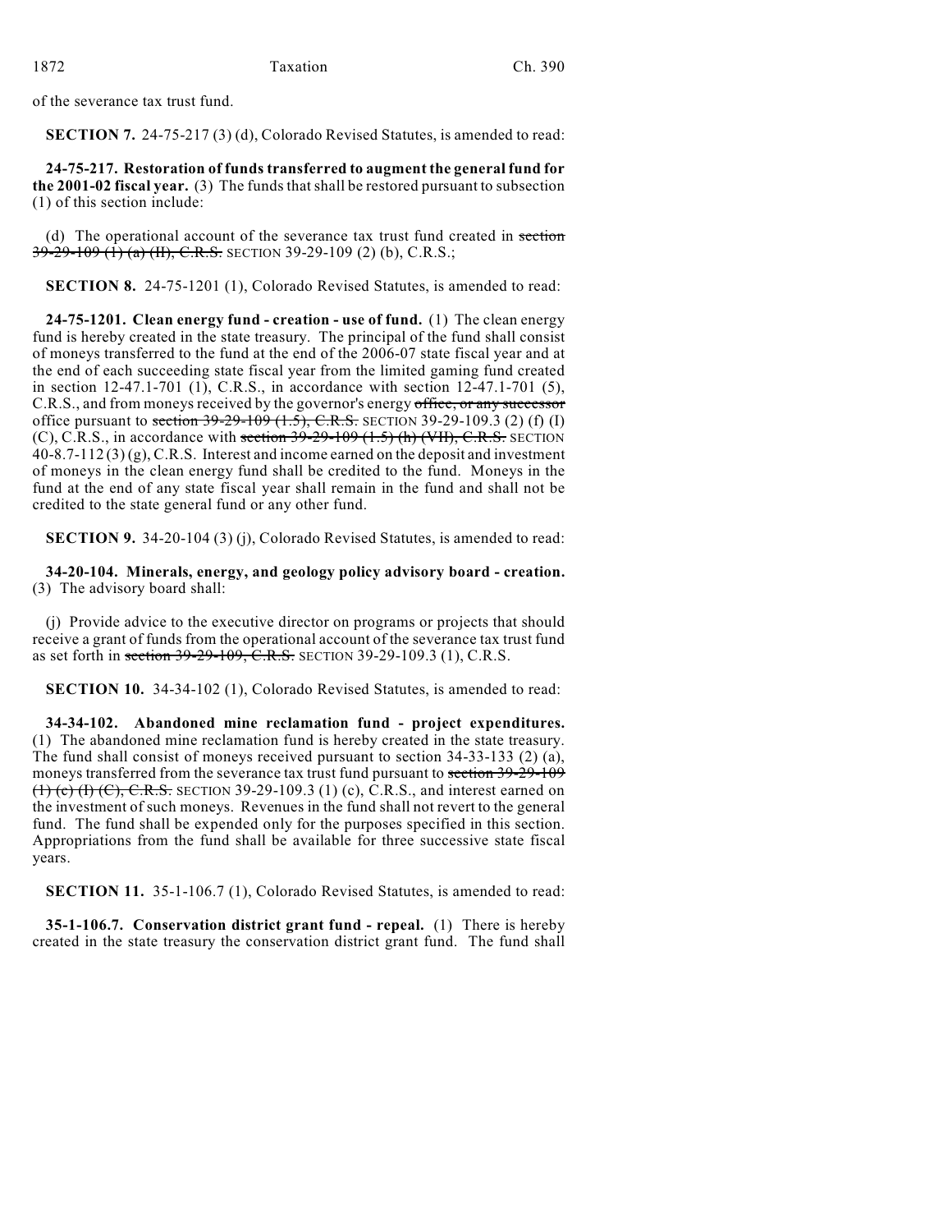of the severance tax trust fund.

**SECTION 7.** 24-75-217 (3) (d), Colorado Revised Statutes, is amended to read:

**24-75-217. Restoration of funds transferred to augment the general fund for the 2001-02 fiscal year.** (3) The funds that shall be restored pursuant to subsection (1) of this section include:

(d) The operational account of the severance tax trust fund created in section 39-29-109 (1) (a) (II), C.R.S. SECTION 39-29-109 (2) (b), C.R.S.;

**SECTION 8.** 24-75-1201 (1), Colorado Revised Statutes, is amended to read:

**24-75-1201. Clean energy fund - creation - use of fund.** (1) The clean energy fund is hereby created in the state treasury. The principal of the fund shall consist of moneys transferred to the fund at the end of the 2006-07 state fiscal year and at the end of each succeeding state fiscal year from the limited gaming fund created in section 12-47.1-701 (1), C.R.S., in accordance with section 12-47.1-701 (5), C.R.S., and from moneys received by the governor's energy office, or any successor office pursuant to section  $39-29-109$   $(1.5)$ , C.R.S. SECTION 39-29-109.3 (2) (f) (I) (C), C.R.S., in accordance with section  $39-29-109$  (1.5) (h) (VII), C.R.S. SECTION  $40-8.7-112(3)(g)$ , C.R.S. Interest and income earned on the deposit and investment of moneys in the clean energy fund shall be credited to the fund. Moneys in the fund at the end of any state fiscal year shall remain in the fund and shall not be credited to the state general fund or any other fund.

**SECTION 9.** 34-20-104 (3) (j), Colorado Revised Statutes, is amended to read:

**34-20-104. Minerals, energy, and geology policy advisory board - creation.** (3) The advisory board shall:

(j) Provide advice to the executive director on programs or projects that should receive a grant of funds from the operational account of the severance tax trust fund as set forth in section 39-29-109, C.R.S. SECTION 39-29-109.3 (1), C.R.S.

**SECTION 10.** 34-34-102 (1), Colorado Revised Statutes, is amended to read:

**34-34-102. Abandoned mine reclamation fund - project expenditures.** (1) The abandoned mine reclamation fund is hereby created in the state treasury. The fund shall consist of moneys received pursuant to section 34-33-133 (2) (a), moneys transferred from the severance tax trust fund pursuant to section 39-29-109  $(1)$  (c) (I) (C), C.R.S. SECTION 39-29-109.3 (1) (c), C.R.S., and interest earned on the investment of such moneys. Revenues in the fund shall not revert to the general fund. The fund shall be expended only for the purposes specified in this section. Appropriations from the fund shall be available for three successive state fiscal years.

**SECTION 11.** 35-1-106.7 (1), Colorado Revised Statutes, is amended to read:

**35-1-106.7. Conservation district grant fund - repeal.** (1) There is hereby created in the state treasury the conservation district grant fund. The fund shall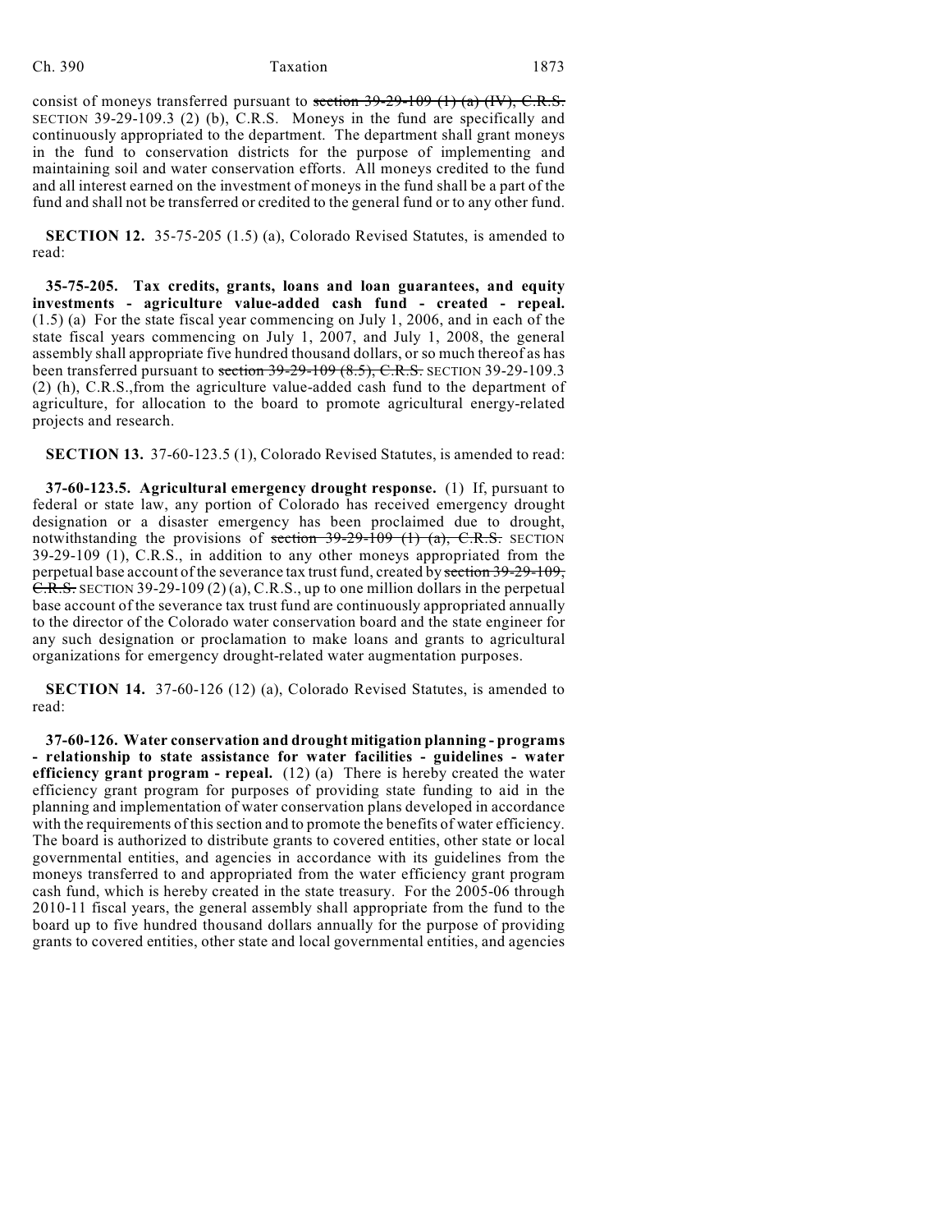consist of moneys transferred pursuant to section  $39-29-109$  (1) (a) (IV), C.R.S. SECTION 39-29-109.3 (2) (b), C.R.S. Moneys in the fund are specifically and continuously appropriated to the department. The department shall grant moneys in the fund to conservation districts for the purpose of implementing and maintaining soil and water conservation efforts. All moneys credited to the fund and all interest earned on the investment of moneys in the fund shall be a part of the fund and shall not be transferred or credited to the general fund or to any other fund.

**SECTION 12.** 35-75-205 (1.5) (a), Colorado Revised Statutes, is amended to read:

**35-75-205. Tax credits, grants, loans and loan guarantees, and equity investments - agriculture value-added cash fund - created - repeal.** (1.5) (a) For the state fiscal year commencing on July 1, 2006, and in each of the state fiscal years commencing on July 1, 2007, and July 1, 2008, the general assembly shall appropriate five hundred thousand dollars, or so much thereof as has been transferred pursuant to section 39-29-109 (8.5), C.R.S. SECTION 39-29-109.3 (2) (h), C.R.S.,from the agriculture value-added cash fund to the department of agriculture, for allocation to the board to promote agricultural energy-related projects and research.

**SECTION 13.** 37-60-123.5 (1), Colorado Revised Statutes, is amended to read:

**37-60-123.5. Agricultural emergency drought response.** (1) If, pursuant to federal or state law, any portion of Colorado has received emergency drought designation or a disaster emergency has been proclaimed due to drought, notwithstanding the provisions of section  $39-29-109$  (1) (a), C.R.S. SECTION 39-29-109 (1), C.R.S., in addition to any other moneys appropriated from the perpetual base account of the severance tax trust fund, created by section 39-29-109, C.R.S. SECTION 39-29-109 (2) (a), C.R.S., up to one million dollars in the perpetual base account of the severance tax trust fund are continuously appropriated annually to the director of the Colorado water conservation board and the state engineer for any such designation or proclamation to make loans and grants to agricultural organizations for emergency drought-related water augmentation purposes.

**SECTION 14.** 37-60-126 (12) (a), Colorado Revised Statutes, is amended to read:

**37-60-126. Water conservation and drought mitigation planning - programs - relationship to state assistance for water facilities - guidelines - water efficiency grant program - repeal.** (12) (a) There is hereby created the water efficiency grant program for purposes of providing state funding to aid in the planning and implementation of water conservation plans developed in accordance with the requirements of this section and to promote the benefits of water efficiency. The board is authorized to distribute grants to covered entities, other state or local governmental entities, and agencies in accordance with its guidelines from the moneys transferred to and appropriated from the water efficiency grant program cash fund, which is hereby created in the state treasury. For the 2005-06 through 2010-11 fiscal years, the general assembly shall appropriate from the fund to the board up to five hundred thousand dollars annually for the purpose of providing grants to covered entities, other state and local governmental entities, and agencies